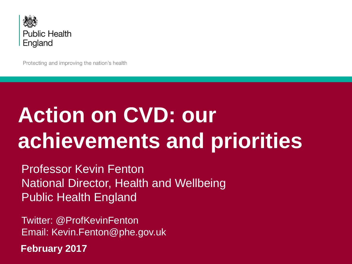

Protecting and improving the nation's health

# **Action on CVD: our achievements and priorities**

Professor Kevin Fenton National Director, Health and Wellbeing Public Health England

Twitter: @ProfKevinFenton Email: Kevin.Fenton@phe.gov.uk

**February 2017**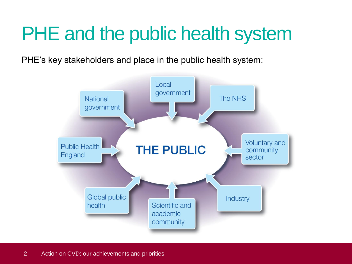### PHE and the public health system

PHE's key stakeholders and place in the public health system:

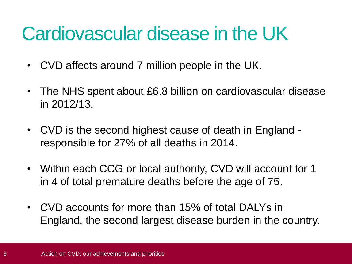#### Cardiovascular disease in the UK

- CVD affects around 7 million people in the UK.
- The NHS spent about £6.8 billion on cardiovascular disease in 2012/13.
- CVD is the second highest cause of death in England responsible for 27% of all deaths in 2014.
- Within each CCG or local authority, CVD will account for 1 in 4 of total premature deaths before the age of 75.
- CVD accounts for more than 15% of total DALYs in England, the second largest disease burden in the country.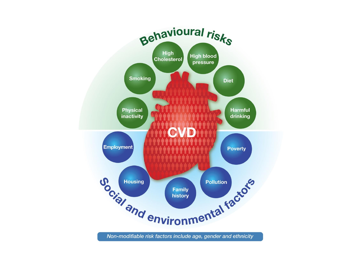

Non-modifiable risk factors include age, gender and ethnicity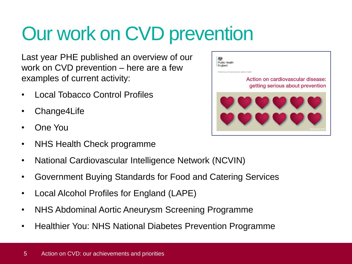# Our work on CVD prevention

Last year PHE published an overview of our work on CVD prevention – here are a few examples of current activity:

- Local Tobacco Control Profiles
- Change4Life
- One You
- NHS Health Check programme
- National Cardiovascular Intelligence Network (NCVIN)
- Government Buying Standards for Food and Catering Services
- Local Alcohol Profiles for England (LAPE)
- NHS Abdominal Aortic Aneurysm Screening Programme
- Healthier You: NHS National Diabetes Prevention Programme

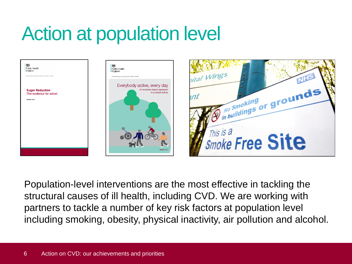## Action at population level





Population-level interventions are the most effective in tackling the structural causes of ill health, including CVD. We are working with partners to tackle a number of key risk factors at population level including smoking, obesity, physical inactivity, air pollution and alcohol.

to physical activity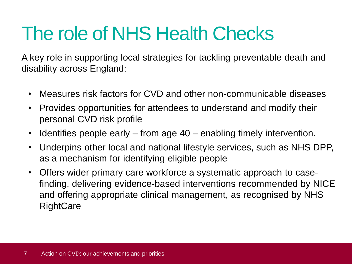#### The role of NHS Health Checks

A key role in supporting local strategies for tackling preventable death and disability across England:

- Measures risk factors for CVD and other non-communicable diseases
- Provides opportunities for attendees to understand and modify their personal CVD risk profile
- Identifies people early from age 40 enabling timely intervention.
- Underpins other local and national lifestyle services, such as NHS DPP, as a mechanism for identifying eligible people
- Offers wider primary care workforce a systematic approach to casefinding, delivering evidence-based interventions recommended by NICE and offering appropriate clinical management, as recognised by NHS **RightCare**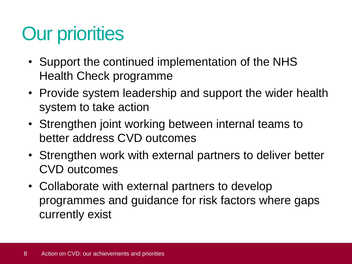# Our priorities

- Support the continued implementation of the NHS Health Check programme
- Provide system leadership and support the wider health system to take action
- Strengthen joint working between internal teams to better address CVD outcomes
- Strengthen work with external partners to deliver better CVD outcomes
- Collaborate with external partners to develop programmes and guidance for risk factors where gaps currently exist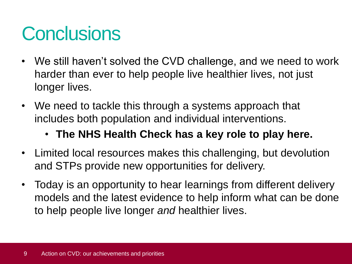### **Conclusions**

- We still haven't solved the CVD challenge, and we need to work harder than ever to help people live healthier lives, not just longer lives.
- We need to tackle this through a systems approach that includes both population and individual interventions.
	- **The NHS Health Check has a key role to play here.**
- Limited local resources makes this challenging, but devolution and STPs provide new opportunities for delivery.
- Today is an opportunity to hear learnings from different delivery models and the latest evidence to help inform what can be done to help people live longer *and* healthier lives.